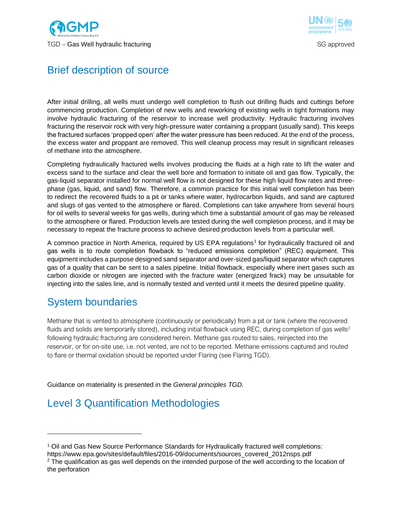



## Brief description of source

After initial drilling, all wells must undergo well completion to flush out drilling fluids and cuttings before commencing production. Completion of new wells and reworking of existing wells in tight formations may involve hydraulic fracturing of the reservoir to increase well productivity. Hydraulic fracturing involves fracturing the reservoir rock with very high-pressure water containing a proppant (usually sand). This keeps the fractured surfaces 'propped open' after the water pressure has been reduced. At the end of the process, the excess water and proppant are removed. This well cleanup process may result in significant releases of methane into the atmosphere.

Completing hydraulically fractured wells involves producing the fluids at a high rate to lift the water and excess sand to the surface and clear the well bore and formation to initiate oil and gas flow. Typically, the gas-liquid separator installed for normal well flow is not designed for these high liquid flow rates and threephase (gas, liquid, and sand) flow. Therefore, a common practice for this initial well completion has been to redirect the recovered fluids to a pit or tanks where water, hydrocarbon liquids, and sand are captured and slugs of gas vented to the atmosphere or flared. Completions can take anywhere from several hours for oil wells to several weeks for gas wells, during which time a substantial amount of gas may be released to the atmosphere or flared. Production levels are tested during the well completion process, and it may be necessary to repeat the fracture process to achieve desired production levels from a particular well.

A common practice in North America, required by US EPA regulations<sup>1</sup> for hydraulically fractured oil and gas wells is to route completion flowback to "reduced emissions completion" (REC) equipment. This equipment includes a purpose designed sand separator and over-sized gas/liquid separator which captures gas of a quality that can be sent to a sales pipeline. Initial flowback, especially where inert gases such as carbon dioxide or nitrogen are injected with the fracture water (energized frack) may be unsuitable for injecting into the sales line, and is normally tested and vented until it meets the desired pipeline quality.

### System boundaries

Methane that is vented to atmosphere (continuously or periodically) from a pit or tank (where the recovered fluids and solids are temporarily stored), including initial flowback using REC, during completion of gas wells<sup>2</sup> following hydraulic fracturing are considered herein. Methane gas routed to sales, reinjected into the reservoir, or for on-site use, i.e. not vented, are not to be reported. Methane emissions captured and routed to flare or thermal oxidation should be reported under Flaring (see Flaring TGD).

Guidance on materiality is presented in the *General principles TGD.*

# Level 3 Quantification Methodologies

<sup>1</sup> Oil and Gas New Source Performance Standards for Hydraulically fractured well completions:

https://www.epa.gov/sites/default/files/2016-09/documents/sources\_covered\_2012nsps.pdf

 $2$  The qualification as gas well depends on the intended purpose of the well according to the location of the perforation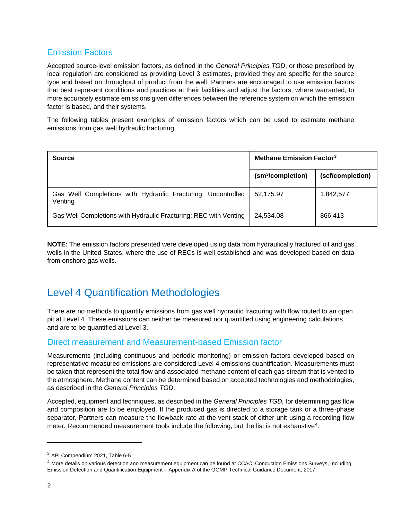### Emission Factors

Accepted source-level emission factors, as defined in the *General Principles TGD*, or those prescribed by local regulation are considered as providing Level 3 estimates, provided they are specific for the source type and based on throughput of product from the well. Partners are encouraged to use emission factors that best represent conditions and practices at their facilities and adjust the factors, where warranted, to more accurately estimate emissions given differences between the reference system on which the emission factor is based, and their systems.

The following tables present examples of emission factors which can be used to estimate methane emissions from gas well hydraulic fracturing.

| <b>Source</b>                                                           | Methane Emission Factor <sup>3</sup> |                  |
|-------------------------------------------------------------------------|--------------------------------------|------------------|
|                                                                         | (sm <sup>3</sup> /completion)        | (scf/completion) |
| Gas Well Completions with Hydraulic Fracturing: Uncontrolled<br>Venting | 52,175.97                            | 1,842,577        |
| Gas Well Completions with Hydraulic Fracturing: REC with Venting        | 24,534.08                            | 866,413          |

**NOTE**: The emission factors presented were developed using data from hydraulically fractured oil and gas wells in the United States, where the use of RECs is well established and was developed based on data from onshore gas wells.

# Level 4 Quantification Methodologies

There are no methods to quantify emissions from gas well hydraulic fracturing with flow routed to an open pit at Level 4. These emissions can neither be measured nor quantified using engineering calculations and are to be quantified at Level 3.

#### Direct measurement and Measurement-based Emission factor

Measurements (including continuous and periodic monitoring) or emission factors developed based on representative measured emissions are considered Level 4 emissions quantification. Measurements must be taken that represent the total flow and associated methane content of each gas stream that is vented to the atmosphere. Methane content can be determined based on accepted technologies and methodologies, as described in the *General Principles TGD*.

Accepted, equipment and techniques, as described in the *General Principles TGD,* for determining gas flow and composition are to be employed. If the produced gas is directed to a storage tank or a three-phase separator, Partners can measure the flowback rate at the vent stack of either unit using a recording flow meter. Recommended measurement tools include the following, but the list is not exhaustive<sup>4</sup>:

<sup>3</sup> API Compendium 2021, Table 6-5

<sup>&</sup>lt;sup>4</sup> More details on various detection and measurement equipment can be found at CCAC, Conduction Emissions Surveys, Including Emission Detection and Quantification Equipment – Appendix A of the OGMP Technical Guidance Document, 2017